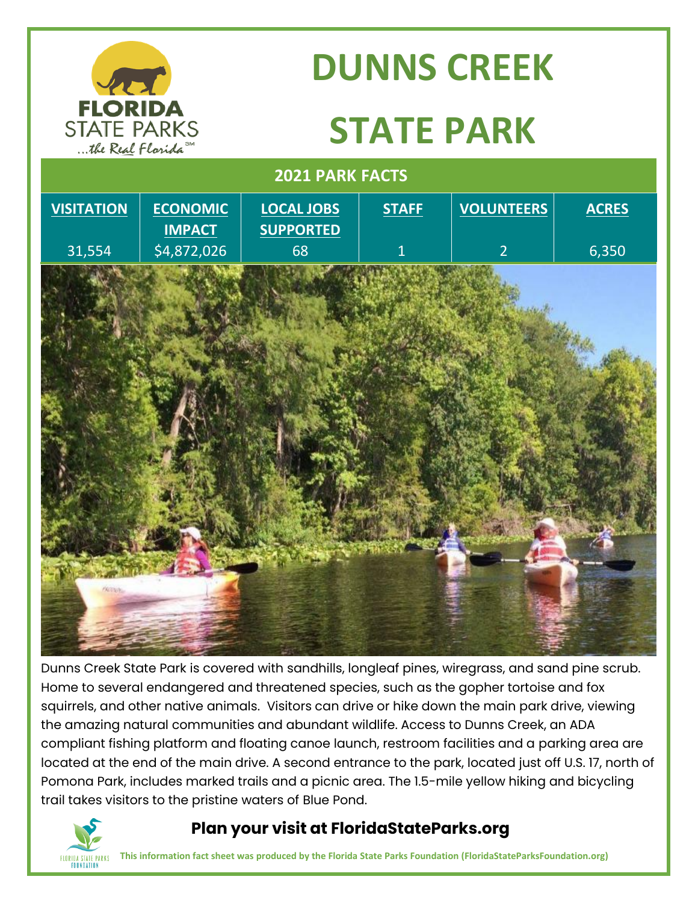

# **DUNNS CREEK**

# **STATE PARK**

#### **2021 PARK FACTS**



Dunns Creek State Park is covered with sandhills, longleaf pines, wiregrass, and sand pine scrub. Home to several endangered and threatened species, such as the gopher tortoise and fox squirrels, and other native animals. Visitors can drive or hike down the main park drive, viewing the amazing natural communities and abundant wildlife. Access to Dunns Creek, an ADA compliant fishing platform and floating canoe launch, restroom facilities and a parking area are located at the end of the main drive. A second entrance to the park, located just off U.S. 17, north of Pomona Park, includes marked trails and a picnic area. The 1.5-mile yellow hiking and bicycling trail takes visitors to the pristine waters of Blue Pond.



### **Plan your visit at FloridaStateParks.org**

**This information fact sheet was produced by the Florida State Parks Foundation (FloridaStateParksFoundation.org)**